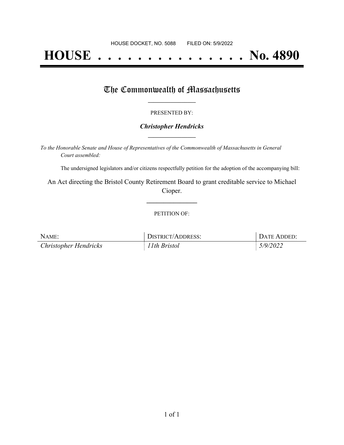# **HOUSE . . . . . . . . . . . . . . . No. 4890**

## The Commonwealth of Massachusetts

#### PRESENTED BY:

#### *Christopher Hendricks* **\_\_\_\_\_\_\_\_\_\_\_\_\_\_\_\_\_**

*To the Honorable Senate and House of Representatives of the Commonwealth of Massachusetts in General Court assembled:*

The undersigned legislators and/or citizens respectfully petition for the adoption of the accompanying bill:

An Act directing the Bristol County Retirement Board to grant creditable service to Michael Cioper.

**\_\_\_\_\_\_\_\_\_\_\_\_\_\_\_**

#### PETITION OF:

| NAME:                        | DISTRICT/ADDRESS: | DATE ADDED: |
|------------------------------|-------------------|-------------|
| <b>Christopher Hendricks</b> | 11th Bristol      | 5/9/2022    |